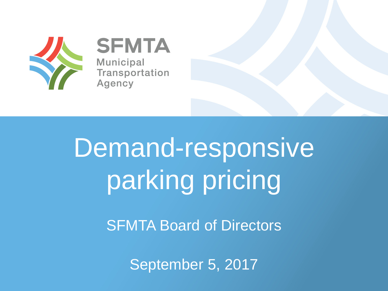

**SFMTA Municipal** Transportation Agency

# Demand-responsive parking pricing

**SFMTA Board of Directors** 

September 5, 2017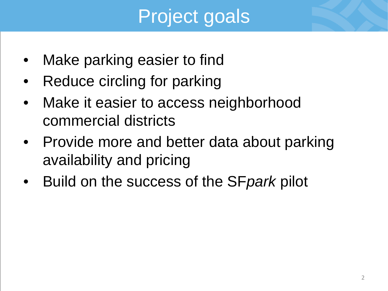# Project goals

- Make parking easier to find
- Reduce circling for parking
- Make it easier to access neighborhood commercial districts
- Provide more and better data about parking availability and pricing
- Build on the success of the SF*park* pilot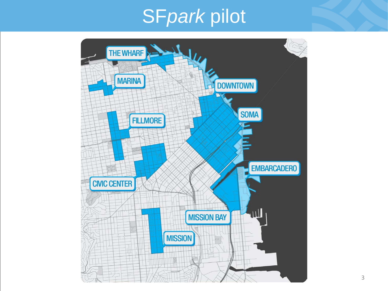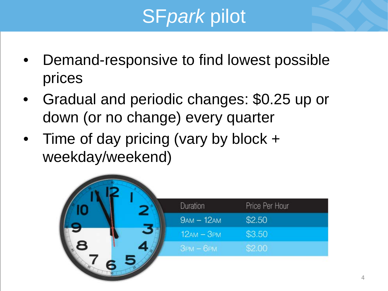- Demand-responsive to find lowest possible prices
- Gradual and periodic changes: \$0.25 up or down (or no change) every quarter
- Time of day pricing (vary by block + weekday/weekend)

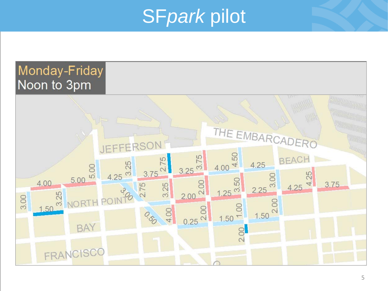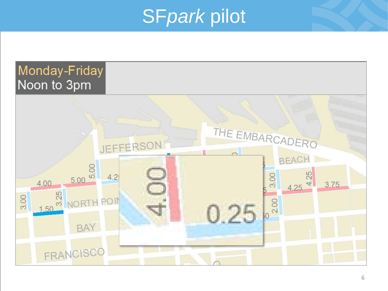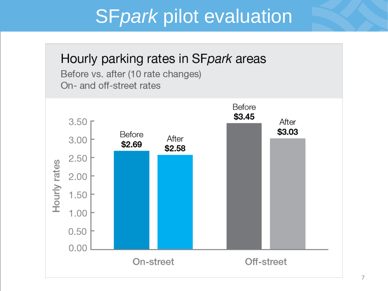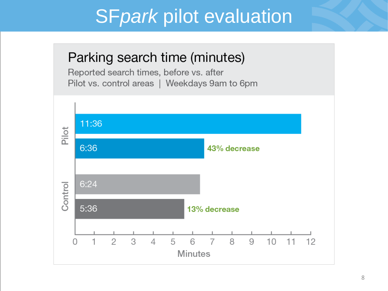#### Parking search time (minutes)

Reported search times, before vs. after Pilot vs. control areas | Weekdays 9am to 6pm

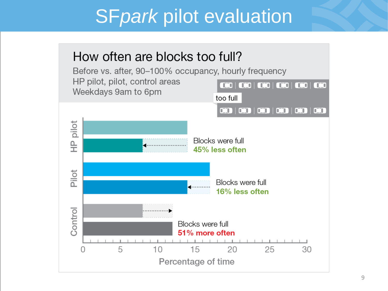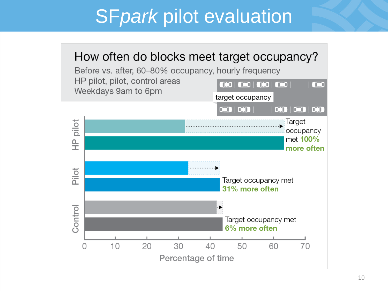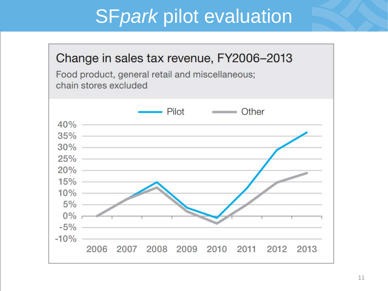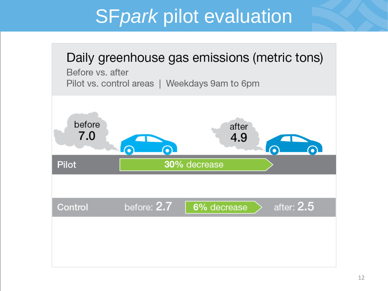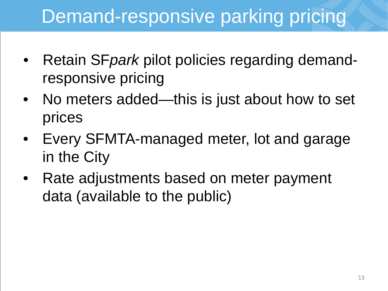## Demand-responsive parking pricing

- Retain SF*park* pilot policies regarding demandresponsive pricing
- No meters added—this is just about how to set prices
- Every SFMTA-managed meter, lot and garage in the City
- Rate adjustments based on meter payment data (available to the public)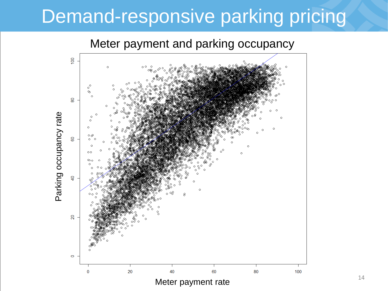### Demand-responsive parking pricing

Meter payment and parking occupancy

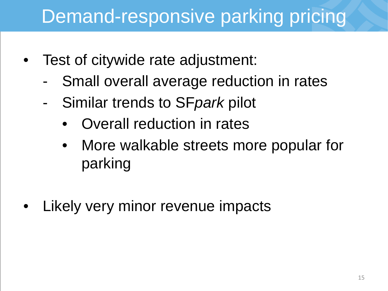### Demand-responsive parking pricing

- Test of citywide rate adjustment:
	- Small overall average reduction in rates
	- Similar trends to SF*park* pilot
		- Overall reduction in rates
		- More walkable streets more popular for parking
- Likely very minor revenue impacts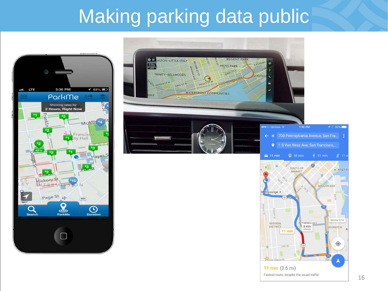### Making parking data public



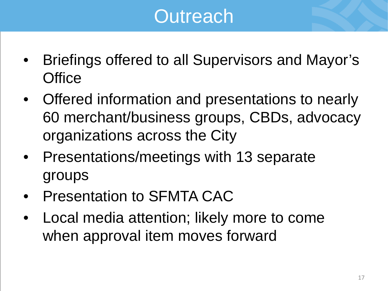# **Outreach**

- Briefings offered to all Supervisors and Mayor's **Office**
- Offered information and presentations to nearly 60 merchant/business groups, CBDs, advocacy organizations across the City
- Presentations/meetings with 13 separate groups
- Presentation to SFMTA CAC
- Local media attention; likely more to come when approval item moves forward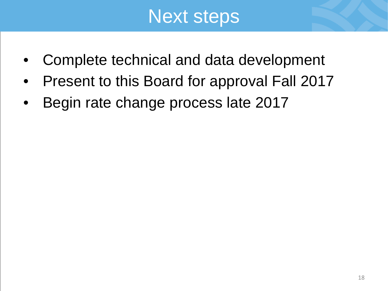#### Next steps

- Complete technical and data development
- Present to this Board for approval Fall 2017
- Begin rate change process late 2017